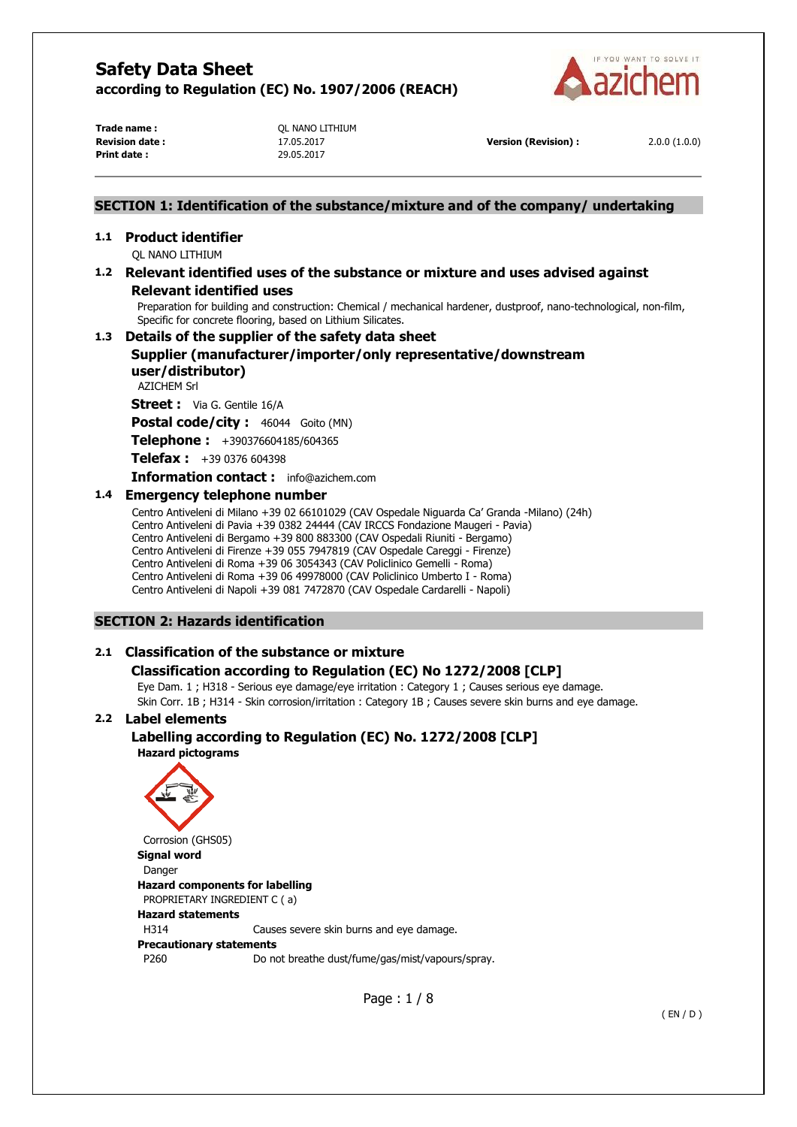

**Trade name :**  $OL NANO LITHIUM$ **Print date :** 29.05.2017

**Revision date :** 17.05.2017 **Version (Revision) :** 2.0.0 (1.0.0)

## **SECTION 1: Identification of the substance/mixture and of the company/ undertaking**

## **1.1 Product identifier**

QL NANO LITHIUM

# **1.2 Relevant identified uses of the substance or mixture and uses advised against**

## **Relevant identified uses**

Preparation for building and construction: Chemical / mechanical hardener, dustproof, nano-technological, non-film, Specific for concrete flooring, based on Lithium Silicates.

## **1.3 Details of the supplier of the safety data sheet**

# **Supplier (manufacturer/importer/only representative/downstream user/distributor)**

AZICHEM Srl

**Street :** Via G. Gentile 16/A

Postal code/city : 46044 Goito (MN)

**Telephone :** +390376604185/604365

**Telefax :** +39 0376 604398

**Information contact :** info@azichem.com

## **1.4 Emergency telephone number**

Centro Antiveleni di Milano +39 02 66101029 (CAV Ospedale Niguarda Ca' Granda -Milano) (24h) Centro Antiveleni di Pavia +39 0382 24444 (CAV IRCCS Fondazione Maugeri - Pavia) Centro Antiveleni di Bergamo +39 800 883300 (CAV Ospedali Riuniti - Bergamo) Centro Antiveleni di Firenze +39 055 7947819 (CAV Ospedale Careggi - Firenze) Centro Antiveleni di Roma +39 06 3054343 (CAV Policlinico Gemelli - Roma) Centro Antiveleni di Roma +39 06 49978000 (CAV Policlinico Umberto I - Roma) Centro Antiveleni di Napoli +39 081 7472870 (CAV Ospedale Cardarelli - Napoli)

## **SECTION 2: Hazards identification**

# **2.1 Classification of the substance or mixture**

# **Classification according to Regulation (EC) No 1272/2008 [CLP]**

Eye Dam. 1 ; H318 - Serious eye damage/eye irritation : Category 1 ; Causes serious eye damage. Skin Corr. 1B ; H314 - Skin corrosion/irritation : Category 1B ; Causes severe skin burns and eye damage.

## **2.2 Label elements**

# **Labelling according to Regulation (EC) No. 1272/2008 [CLP] Hazard pictograms**



Page : 1 / 8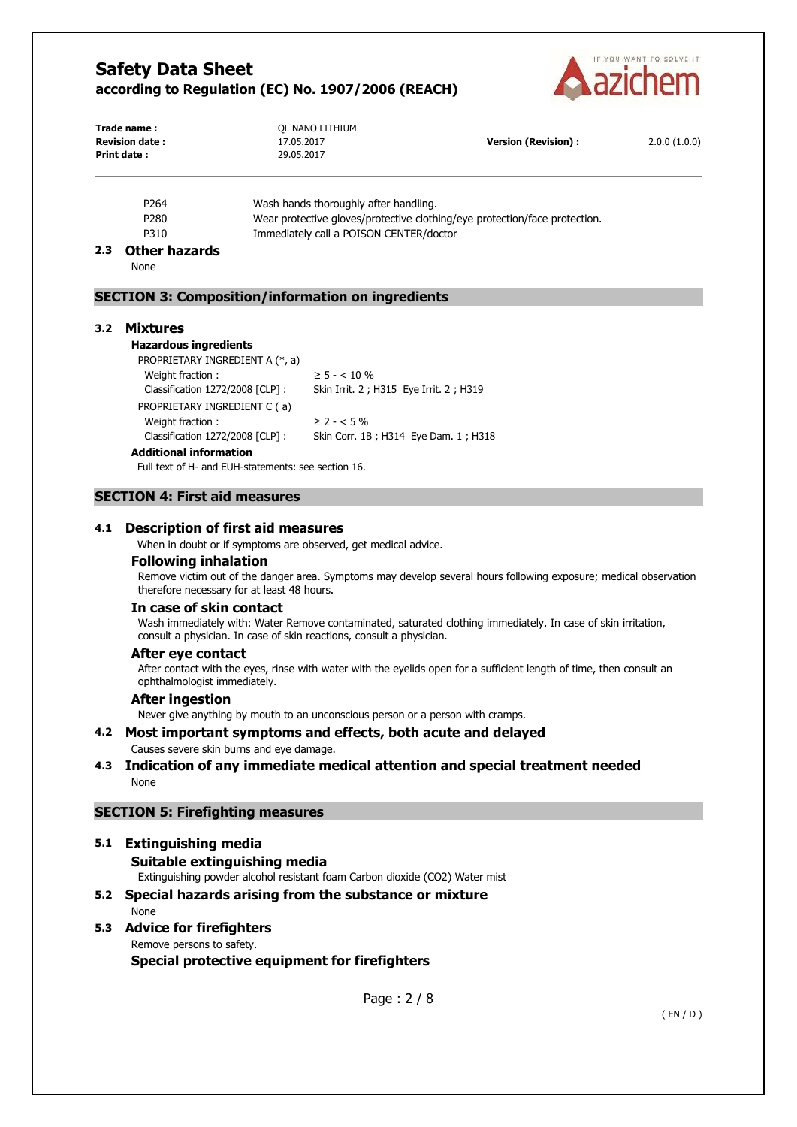

| Trade name:<br><b>Revision date:</b> | OL NANO LITHIUM<br>17.05.2017 | <b>Version (Revision):</b> | 2.0.0(1.0.0) |
|--------------------------------------|-------------------------------|----------------------------|--------------|
| Print date :                         | 29.05.2017                    |                            |              |

| P <sub>264</sub> | Wash hands thoroughly after handling.                                      |
|------------------|----------------------------------------------------------------------------|
| P280             | Wear protective gloves/protective clothing/eye protection/face protection. |
| P310             | Immediately call a POISON CENTER/doctor                                    |

## **2.3 Other hazards**

None

# **SECTION 3: Composition/information on ingredients**

#### **3.2 Mixtures**

**Hazardous ingredients**

PROPRIETARY INGREDIENT A (\*, a) Weight fraction :  $\geq 5 - < 10 \%$ PROPRIETARY INGREDIENT C ( a) Weight fraction :  $\geq 2 - 5\%$ 

Classification 1272/2008 [CLP] : Skin Irrit. 2 ; H315 Eye Irrit. 2 ; H319 Classification 1272/2008 [CLP] : Skin Corr. 1B ; H314 Eye Dam. 1 ; H318

#### **Additional information**

Full text of H- and EUH-statements: see section 16.

## **SECTION 4: First aid measures**

## **4.1 Description of first aid measures**

When in doubt or if symptoms are observed, get medical advice.

### **Following inhalation**

Remove victim out of the danger area. Symptoms may develop several hours following exposure; medical observation therefore necessary for at least 48 hours.

#### **In case of skin contact**

Wash immediately with: Water Remove contaminated, saturated clothing immediately. In case of skin irritation, consult a physician. In case of skin reactions, consult a physician.

#### **After eye contact**

After contact with the eyes, rinse with water with the eyelids open for a sufficient length of time, then consult an ophthalmologist immediately.

#### **After ingestion**

Never give anything by mouth to an unconscious person or a person with cramps.

# **4.2 Most important symptoms and effects, both acute and delayed**

Causes severe skin burns and eye damage.

## **4.3 Indication of any immediate medical attention and special treatment needed**  None

## **SECTION 5: Firefighting measures**

# **5.1 Extinguishing media Suitable extinguishing media**  Extinguishing powder alcohol resistant foam Carbon dioxide (CO2) Water mist

- **5.2 Special hazards arising from the substance or mixture**  None
- **5.3 Advice for firefighters**  Remove persons to safety.

**Special protective equipment for firefighters**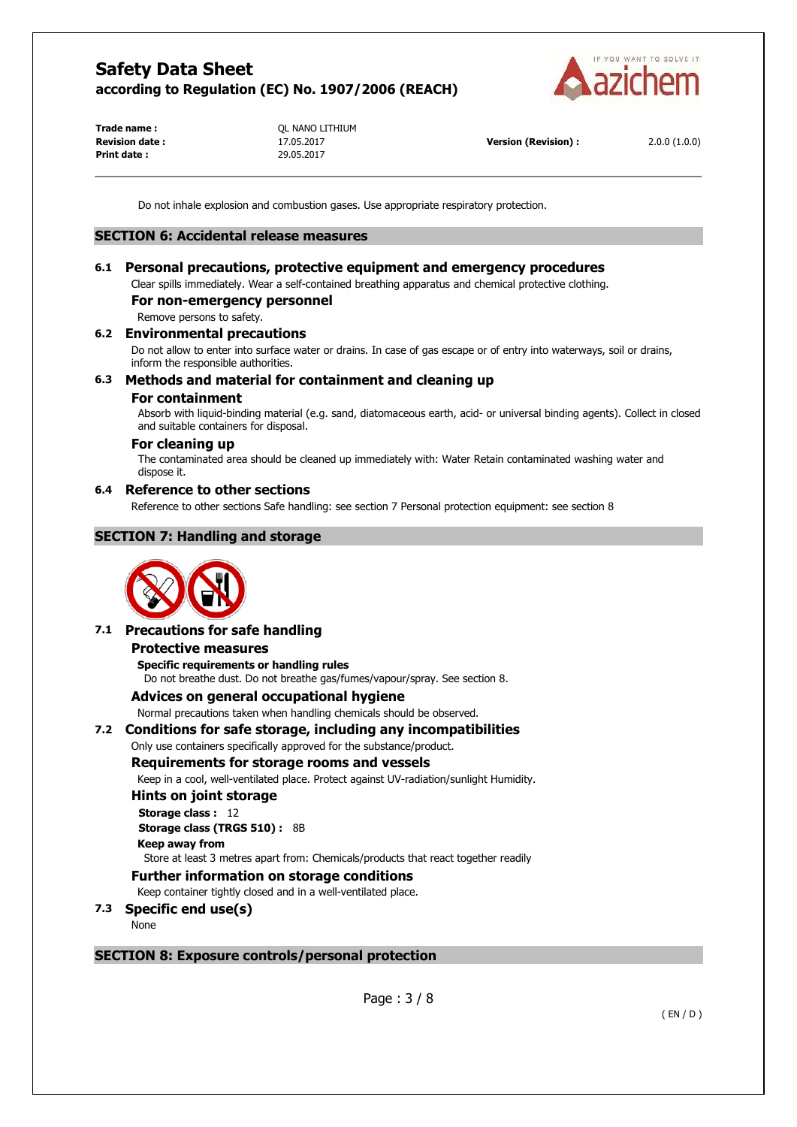

**Print date :** 29.05.2017

**Trade name :**  $OL NANO LITHIUM$ 

**Revision date :** 17.05.2017 **Version (Revision) :** 2.0.0 (1.0.0)

Do not inhale explosion and combustion gases. Use appropriate respiratory protection.

## **SECTION 6: Accidental release measures**

# **6.1 Personal precautions, protective equipment and emergency procedures**

Clear spills immediately. Wear a self-contained breathing apparatus and chemical protective clothing.

# **For non-emergency personnel**

Remove persons to safety.

## **6.2 Environmental precautions**

Do not allow to enter into surface water or drains. In case of gas escape or of entry into waterways, soil or drains, inform the responsible authorities.

## **6.3 Methods and material for containment and cleaning up**

## **For containment**

Absorb with liquid-binding material (e.g. sand, diatomaceous earth, acid- or universal binding agents). Collect in closed and suitable containers for disposal.

## **For cleaning up**

The contaminated area should be cleaned up immediately with: Water Retain contaminated washing water and dispose it.

## **6.4 Reference to other sections**

Reference to other sections Safe handling: see section 7 Personal protection equipment: see section 8

# **SECTION 7: Handling and storage**



## **7.1 Precautions for safe handling**

#### **Protective measures**

**Specific requirements or handling rules**  Do not breathe dust. Do not breathe gas/fumes/vapour/spray. See section 8.

## **Advices on general occupational hygiene**

Normal precautions taken when handling chemicals should be observed.

## **7.2 Conditions for safe storage, including any incompatibilities**

# Only use containers specifically approved for the substance/product.

## **Requirements for storage rooms and vessels**

Keep in a cool, well-ventilated place. Protect against UV-radiation/sunlight Humidity.

**Hints on joint storage** 

**Storage class :** 12 **Storage class (TRGS 510) :** 8B

# **Keep away from**

Store at least 3 metres apart from: Chemicals/products that react together readily

## **Further information on storage conditions**

Keep container tightly closed and in a well-ventilated place.

## **7.3 Specific end use(s)**

None

## **SECTION 8: Exposure controls/personal protection**

Page : 3 / 8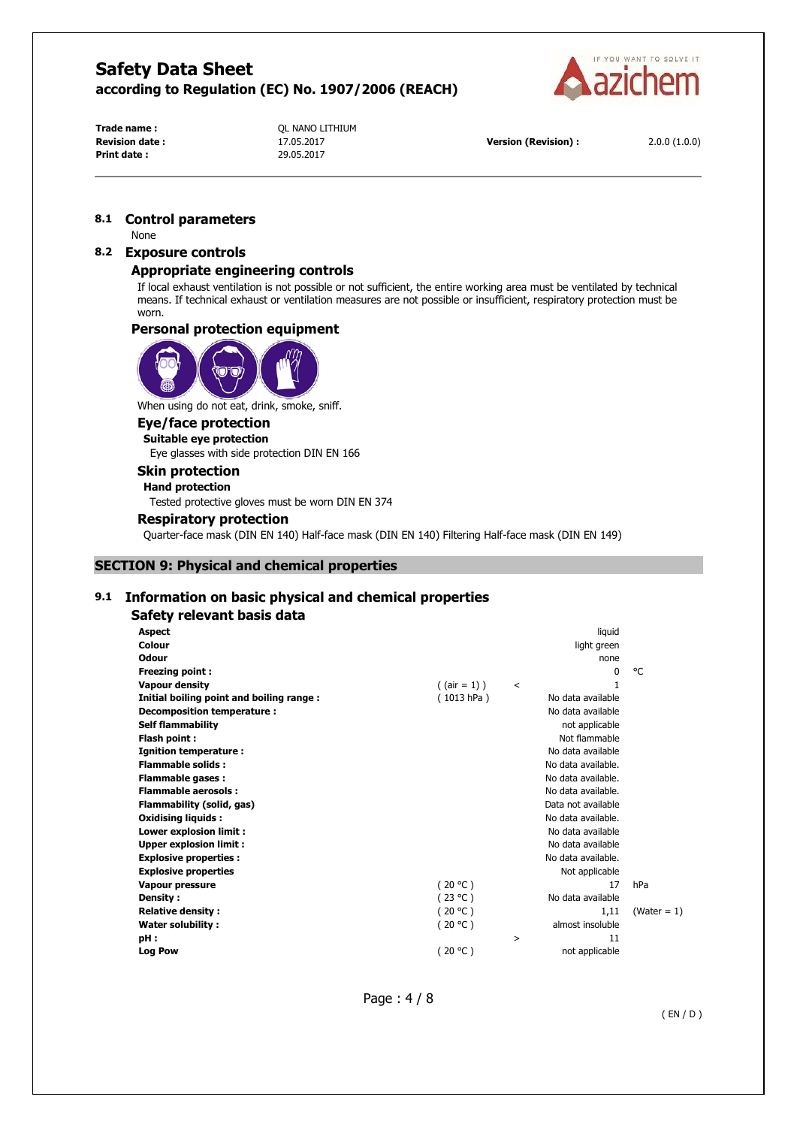

**Print date :** 29.05.2017

**Trade name :**  $OL NANO LITHIUM$ 

**Revision date :** 17.05.2017 **Version (Revision) :** 2.0.0 (1.0.0)

### **8.1 Control parameters**

None

# **8.2 Exposure controls**

## **Appropriate engineering controls**

If local exhaust ventilation is not possible or not sufficient, the entire working area must be ventilated by technical means. If technical exhaust or ventilation measures are not possible or insufficient, respiratory protection must be worn.

## **Personal protection equipment**



When using do not eat, drink, smoke, sniff.

#### **Eye/face protection**

**Suitable eye protection**  Eye glasses with side protection DIN EN 166

# **Skin protection**

# **Hand protection**

Tested protective gloves must be worn DIN EN 374

## **Respiratory protection**

Quarter-face mask (DIN EN 140) Half-face mask (DIN EN 140) Filtering Half-face mask (DIN EN 149)

# **SECTION 9: Physical and chemical properties**

## **9.1 Information on basic physical and chemical properties**

#### **Safety relevant basis data**

| <b>Aspect</b>                            |                 |         | liquid             |                |
|------------------------------------------|-----------------|---------|--------------------|----------------|
| Colour                                   |                 |         | light green        |                |
| Odour                                    |                 |         | none               |                |
| <b>Freezing point:</b>                   |                 |         | 0                  | °C             |
| <b>Vapour density</b>                    | $($ (air = 1) ) | $\,<\,$ | 1                  |                |
| Initial boiling point and boiling range: | (1013 hPa)      |         | No data available  |                |
| Decomposition temperature :              |                 |         | No data available  |                |
| <b>Self flammability</b>                 |                 |         | not applicable     |                |
| Flash point:                             |                 |         | Not flammable      |                |
| Ignition temperature:                    |                 |         | No data available  |                |
| <b>Flammable solids:</b>                 |                 |         | No data available. |                |
| <b>Flammable gases:</b>                  |                 |         | No data available. |                |
| <b>Flammable aerosols:</b>               |                 |         | No data available. |                |
| Flammability (solid, gas)                |                 |         | Data not available |                |
| <b>Oxidising liquids:</b>                |                 |         | No data available. |                |
| Lower explosion limit :                  |                 |         | No data available  |                |
| <b>Upper explosion limit:</b>            |                 |         | No data available  |                |
| <b>Explosive properties:</b>             |                 |         | No data available. |                |
| <b>Explosive properties</b>              |                 |         | Not applicable     |                |
| <b>Vapour pressure</b>                   | (20 °C)         |         | 17                 | hPa            |
| Density:                                 | (23 °C)         |         | No data available  |                |
| <b>Relative density:</b>                 | (20 °C)         |         | 1.11               | (Water = $1$ ) |
| Water solubility:                        | (20 °C)         |         | almost insoluble   |                |
| pH:                                      |                 | >       | 11                 |                |
| <b>Log Pow</b>                           | (20 °C)         |         | not applicable     |                |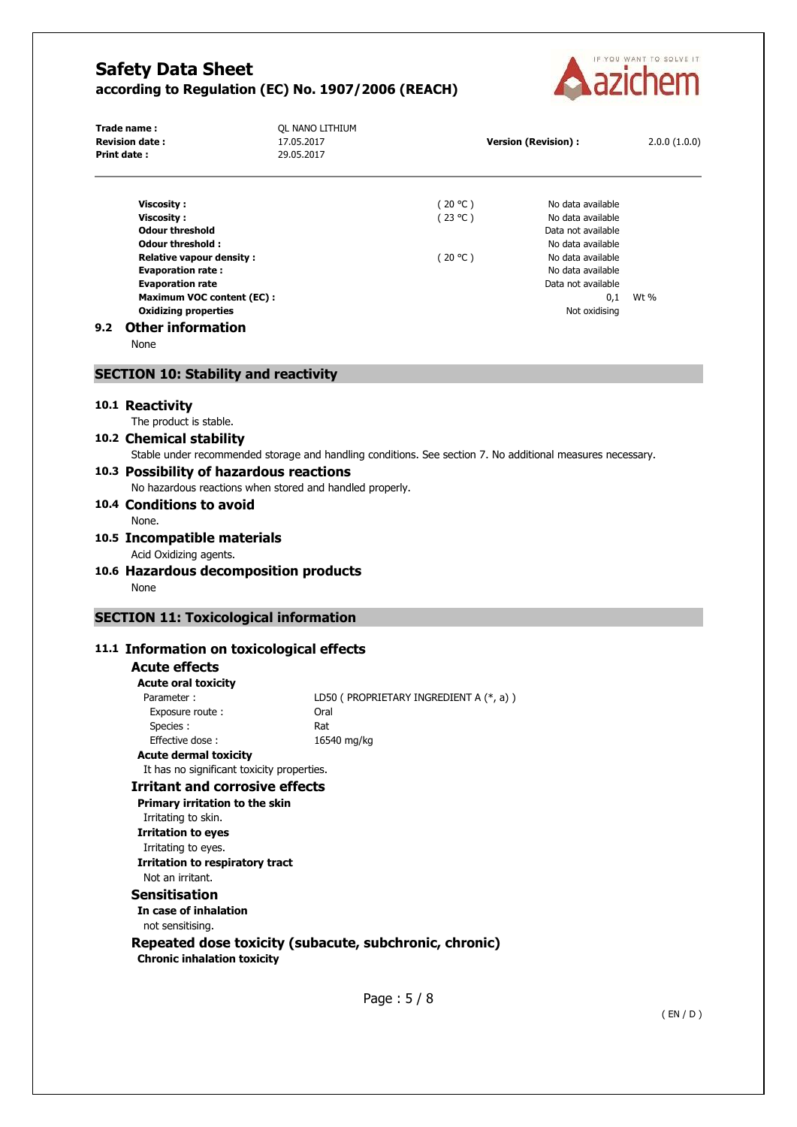

|     | Trade name:<br><b>Revision date:</b><br>Print date:                                                                                                                                                                                                                           | QL NANO LITHIUM<br>17.05.2017<br>29.05.2017 |                                          | <b>Version (Revision):</b>                                                                                                                                                | 2.0.0(1.0.0) |
|-----|-------------------------------------------------------------------------------------------------------------------------------------------------------------------------------------------------------------------------------------------------------------------------------|---------------------------------------------|------------------------------------------|---------------------------------------------------------------------------------------------------------------------------------------------------------------------------|--------------|
| 9.2 | <b>Viscosity:</b><br><b>Viscosity:</b><br><b>Odour threshold</b><br>Odour threshold:<br><b>Relative vapour density:</b><br><b>Evaporation rate:</b><br><b>Evaporation rate</b><br><b>Maximum VOC content (EC):</b><br><b>Oxidizing properties</b><br><b>Other information</b> |                                             | (20 °C)<br>(23 °C)<br>(20 °C)            | No data available<br>No data available<br>Data not available<br>No data available<br>No data available<br>No data available<br>Data not available<br>0,1<br>Not oxidising | Wt %         |
|     | None                                                                                                                                                                                                                                                                          |                                             |                                          |                                                                                                                                                                           |              |
|     | <b>SECTION 10: Stability and reactivity</b>                                                                                                                                                                                                                                   |                                             |                                          |                                                                                                                                                                           |              |
|     | 10.1 Reactivity                                                                                                                                                                                                                                                               |                                             |                                          |                                                                                                                                                                           |              |
|     | The product is stable.                                                                                                                                                                                                                                                        |                                             |                                          |                                                                                                                                                                           |              |
|     | 10.2 Chemical stability                                                                                                                                                                                                                                                       |                                             |                                          |                                                                                                                                                                           |              |
|     | Stable under recommended storage and handling conditions. See section 7. No additional measures necessary.<br>10.3 Possibility of hazardous reactions                                                                                                                         |                                             |                                          |                                                                                                                                                                           |              |
|     | No hazardous reactions when stored and handled properly.                                                                                                                                                                                                                      |                                             |                                          |                                                                                                                                                                           |              |
|     | 10.4 Conditions to avoid                                                                                                                                                                                                                                                      |                                             |                                          |                                                                                                                                                                           |              |
|     | None.                                                                                                                                                                                                                                                                         |                                             |                                          |                                                                                                                                                                           |              |
|     | 10.5 Incompatible materials                                                                                                                                                                                                                                                   |                                             |                                          |                                                                                                                                                                           |              |
|     | Acid Oxidizing agents.                                                                                                                                                                                                                                                        |                                             |                                          |                                                                                                                                                                           |              |
|     | 10.6 Hazardous decomposition products                                                                                                                                                                                                                                         |                                             |                                          |                                                                                                                                                                           |              |
|     | None                                                                                                                                                                                                                                                                          |                                             |                                          |                                                                                                                                                                           |              |
|     |                                                                                                                                                                                                                                                                               |                                             |                                          |                                                                                                                                                                           |              |
|     | <b>SECTION 11: Toxicological information</b>                                                                                                                                                                                                                                  |                                             |                                          |                                                                                                                                                                           |              |
|     |                                                                                                                                                                                                                                                                               |                                             |                                          |                                                                                                                                                                           |              |
|     |                                                                                                                                                                                                                                                                               |                                             |                                          |                                                                                                                                                                           |              |
|     | 11.1 Information on toxicological effects<br><b>Acute effects</b>                                                                                                                                                                                                             |                                             |                                          |                                                                                                                                                                           |              |
|     | <b>Acute oral toxicity</b>                                                                                                                                                                                                                                                    |                                             |                                          |                                                                                                                                                                           |              |
|     | Parameter:                                                                                                                                                                                                                                                                    |                                             | LD50 ( PROPRIETARY INGREDIENT A (*, a) ) |                                                                                                                                                                           |              |
|     | Exposure route :                                                                                                                                                                                                                                                              | Oral                                        |                                          |                                                                                                                                                                           |              |
|     | Species:                                                                                                                                                                                                                                                                      | Rat                                         |                                          |                                                                                                                                                                           |              |
|     | Effective dose:                                                                                                                                                                                                                                                               | 16540 mg/kg                                 |                                          |                                                                                                                                                                           |              |
|     | <b>Acute dermal toxicity</b>                                                                                                                                                                                                                                                  |                                             |                                          |                                                                                                                                                                           |              |
|     | It has no significant toxicity properties.<br><b>Irritant and corrosive effects</b>                                                                                                                                                                                           |                                             |                                          |                                                                                                                                                                           |              |
|     | Primary irritation to the skin                                                                                                                                                                                                                                                |                                             |                                          |                                                                                                                                                                           |              |
|     | Irritating to skin.                                                                                                                                                                                                                                                           |                                             |                                          |                                                                                                                                                                           |              |
|     | <b>Irritation to eyes</b>                                                                                                                                                                                                                                                     |                                             |                                          |                                                                                                                                                                           |              |
|     | Irritating to eyes.                                                                                                                                                                                                                                                           |                                             |                                          |                                                                                                                                                                           |              |
|     | <b>Irritation to respiratory tract</b>                                                                                                                                                                                                                                        |                                             |                                          |                                                                                                                                                                           |              |
|     | Not an irritant.                                                                                                                                                                                                                                                              |                                             |                                          |                                                                                                                                                                           |              |
|     | <b>Sensitisation</b>                                                                                                                                                                                                                                                          |                                             |                                          |                                                                                                                                                                           |              |
|     | In case of inhalation                                                                                                                                                                                                                                                         |                                             |                                          |                                                                                                                                                                           |              |
|     | not sensitising.<br>Repeated dose toxicity (subacute, subchronic, chronic)                                                                                                                                                                                                    |                                             |                                          |                                                                                                                                                                           |              |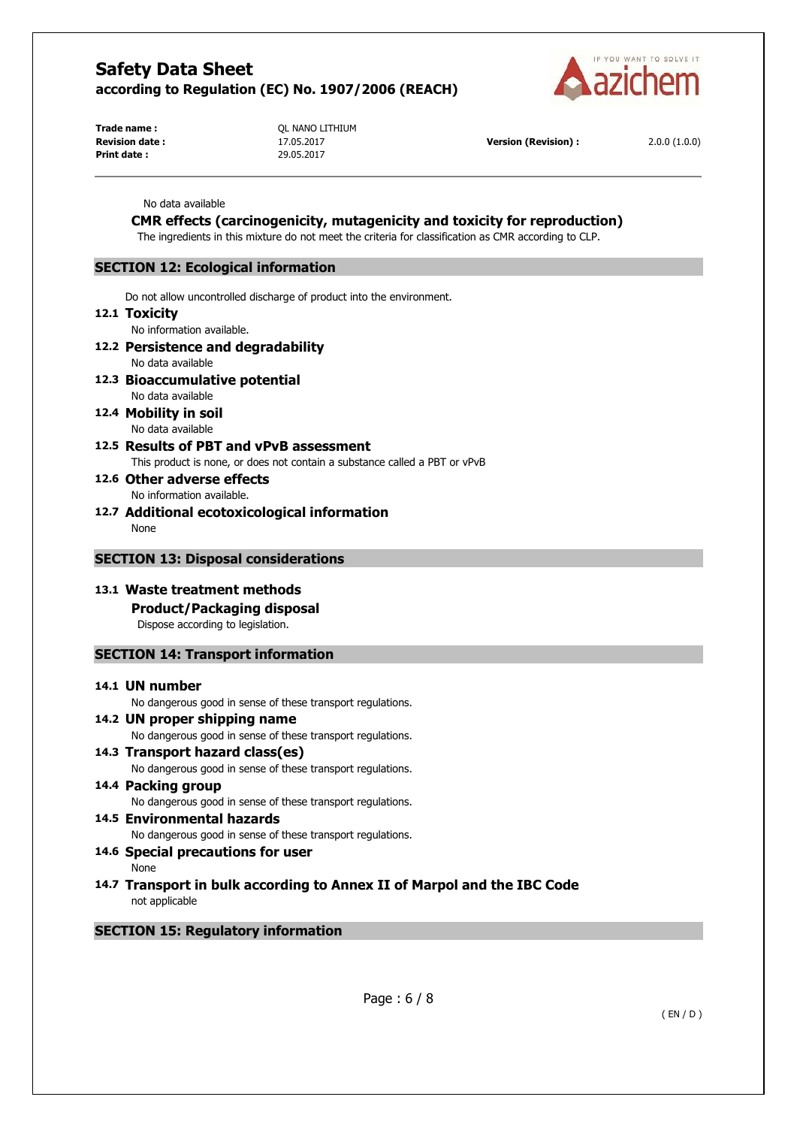

**Trade name :**  $OL NANO LITHIUM$ **Print date :** 29.05.2017

**Revision date :** 17.05.2017 **Version (Revision) :** 2.0.0 (1.0.0)

#### No data available

# **CMR effects (carcinogenicity, mutagenicity and toxicity for reproduction)**

The ingredients in this mixture do not meet the criteria for classification as CMR according to CLP.

## **SECTION 12: Ecological information**

Do not allow uncontrolled discharge of product into the environment.

### **12.1 Toxicity**

No information available.

## **12.2 Persistence and degradability**

No data available

## **12.3 Bioaccumulative potential**

No data available

**12.4 Mobility in soil**  No data available

## **12.5 Results of PBT and vPvB assessment**

This product is none, or does not contain a substance called a PBT or vPvB

**12.6 Other adverse effects**  No information available.

**12.7 Additional ecotoxicological information** 

None

## **SECTION 13: Disposal considerations**

# **13.1 Waste treatment methods**

**Product/Packaging disposal** 

Dispose according to legislation.

# **SECTION 14: Transport information**

#### **14.1 UN number**

No dangerous good in sense of these transport regulations.

#### **14.2 UN proper shipping name**  No dangerous good in sense of these transport regulations.

- **14.3 Transport hazard class(es)**  No dangerous good in sense of these transport regulations.
- **14.4 Packing group**  No dangerous good in sense of these transport regulations.
- **14.5 Environmental hazards**  No dangerous good in sense of these transport regulations. **14.6 Special precautions for user**

None

**14.7 Transport in bulk according to Annex II of Marpol and the IBC Code** not applicable

# **SECTION 15: Regulatory information**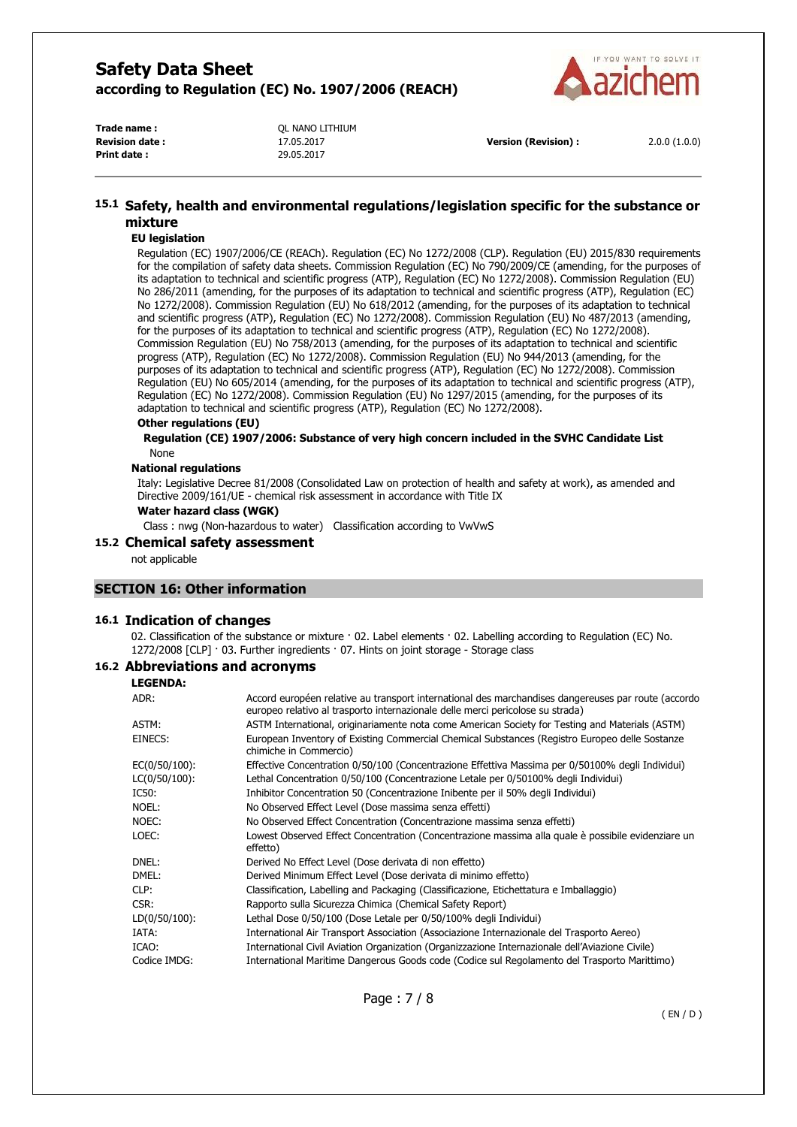

| Trade name :          | OL NANO LITHIUM |
|-----------------------|-----------------|
| <b>Revision date:</b> | 17.05.2017      |
| Print date:           | 29.05.2017      |

**Version (Revision) :** 2.0.0 (1.0.0)

# **15.1 Safety, health and environmental regulations/legislation specific for the substance or mixture**

### **EU legislation**

Regulation (EC) 1907/2006/CE (REACh). Regulation (EC) No 1272/2008 (CLP). Regulation (EU) 2015/830 requirements for the compilation of safety data sheets. Commission Regulation (EC) No 790/2009/CE (amending, for the purposes of its adaptation to technical and scientific progress (ATP), Regulation (EC) No 1272/2008). Commission Regulation (EU) No 286/2011 (amending, for the purposes of its adaptation to technical and scientific progress (ATP), Regulation (EC) No 1272/2008). Commission Regulation (EU) No 618/2012 (amending, for the purposes of its adaptation to technical and scientific progress (ATP), Regulation (EC) No 1272/2008). Commission Regulation (EU) No 487/2013 (amending, for the purposes of its adaptation to technical and scientific progress (ATP), Regulation (EC) No 1272/2008). Commission Regulation (EU) No 758/2013 (amending, for the purposes of its adaptation to technical and scientific progress (ATP), Regulation (EC) No 1272/2008). Commission Regulation (EU) No 944/2013 (amending, for the purposes of its adaptation to technical and scientific progress (ATP), Regulation (EC) No 1272/2008). Commission Regulation (EU) No 605/2014 (amending, for the purposes of its adaptation to technical and scientific progress (ATP), Regulation (EC) No 1272/2008). Commission Regulation (EU) No 1297/2015 (amending, for the purposes of its adaptation to technical and scientific progress (ATP), Regulation (EC) No 1272/2008).

#### **Other regulations (EU)**

**Regulation (CE) 1907/2006: Substance of very high concern included in the SVHC Candidate List**  None

#### **National regulations**

Italy: Legislative Decree 81/2008 (Consolidated Law on protection of health and safety at work), as amended and Directive 2009/161/UE - chemical risk assessment in accordance with Title IX

#### **Water hazard class (WGK)**

Class : nwg (Non-hazardous to water) Classification according to VwVwS

## **15.2 Chemical safety assessment**

not applicable

#### **SECTION 16: Other information**

### **16.1 Indication of changes**

02. Classification of the substance or mixture · 02. Label elements · 02. Labelling according to Regulation (EC) No. 1272/2008 [CLP] · 03. Further ingredients · 07. Hints on joint storage - Storage class

### **16.2 Abbreviations and acronyms**

**LEGENDA:**

| ADR:          | Accord européen relative au transport international des marchandises dangereuses par route (accordo<br>europeo relativo al trasporto internazionale delle merci pericolose su strada) |
|---------------|---------------------------------------------------------------------------------------------------------------------------------------------------------------------------------------|
| ASTM:         | ASTM International, originariamente nota come American Society for Testing and Materials (ASTM)                                                                                       |
| EINECS:       | European Inventory of Existing Commercial Chemical Substances (Registro Europeo delle Sostanze<br>chimiche in Commercio)                                                              |
| EC(0/50/100): | Effective Concentration 0/50/100 (Concentrazione Effettiva Massima per 0/50100% degli Individui)                                                                                      |
| LC(0/50/100): | Lethal Concentration 0/50/100 (Concentrazione Letale per 0/50100% degli Individui)                                                                                                    |
| IC50:         | Inhibitor Concentration 50 (Concentrazione Inibente per il 50% degli Individui)                                                                                                       |
| NOEL:         | No Observed Effect Level (Dose massima senza effetti)                                                                                                                                 |
| NOEC:         | No Observed Effect Concentration (Concentrazione massima senza effetti)                                                                                                               |
| LOEC:         | Lowest Observed Effect Concentration (Concentrazione massima alla quale è possibile evidenziare un<br>effetto)                                                                        |
| DNEL:         | Derived No Effect Level (Dose derivata di non effetto)                                                                                                                                |
| DMEL:         | Derived Minimum Effect Level (Dose derivata di minimo effetto)                                                                                                                        |
| CLP:          | Classification, Labelling and Packaging (Classificazione, Etichettatura e Imballaggio)                                                                                                |
| CSR:          | Rapporto sulla Sicurezza Chimica (Chemical Safety Report)                                                                                                                             |
| LD(0/50/100): | Lethal Dose 0/50/100 (Dose Letale per 0/50/100% degli Individui)                                                                                                                      |
| IATA:         | International Air Transport Association (Associazione Internazionale del Trasporto Aereo)                                                                                             |
| ICAO:         | International Civil Aviation Organization (Organizzazione Internazionale dell'Aviazione Civile)                                                                                       |
| Codice IMDG:  | International Maritime Dangerous Goods code (Codice sul Regolamento del Trasporto Marittimo)                                                                                          |